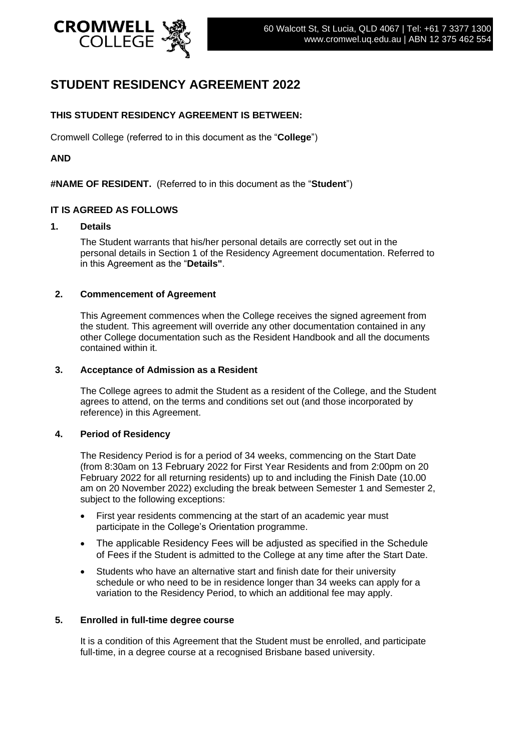

# **STUDENT RESIDENCY AGREEMENT 2022**

# **THIS STUDENT RESIDENCY AGREEMENT IS BETWEEN:**

Cromwell College (referred to in this document as the "**College**")

# **AND**

**#NAME OF RESIDENT.** (Referred to in this document as the "**Student**")

#### **IT IS AGREED AS FOLLOWS**

#### **1. Details**

The Student warrants that his/her personal details are correctly set out in the personal details in Section 1 of the Residency Agreement documentation. Referred to in this Agreement as the "**Details"**.

#### **2. Commencement of Agreement**

This Agreement commences when the College receives the signed agreement from the student. This agreement will override any other documentation contained in any other College documentation such as the Resident Handbook and all the documents contained within it.

#### **3. Acceptance of Admission as a Resident**

The College agrees to admit the Student as a resident of the College, and the Student agrees to attend, on the terms and conditions set out (and those incorporated by reference) in this Agreement.

#### **4. Period of Residency**

The Residency Period is for a period of 34 weeks, commencing on the Start Date (from 8:30am on 13 February 2022 for First Year Residents and from 2:00pm on 20 February 2022 for all returning residents) up to and including the Finish Date (10.00 am on 20 November 2022) excluding the break between Semester 1 and Semester 2, subject to the following exceptions:

- First year residents commencing at the start of an academic year must participate in the College's Orientation programme.
- The applicable Residency Fees will be adjusted as specified in the Schedule of Fees if the Student is admitted to the College at any time after the Start Date.
- Students who have an alternative start and finish date for their university schedule or who need to be in residence longer than 34 weeks can apply for a variation to the Residency Period, to which an additional fee may apply.

# **5. Enrolled in full-time degree course**

It is a condition of this Agreement that the Student must be enrolled, and participate full-time, in a degree course at a recognised Brisbane based university.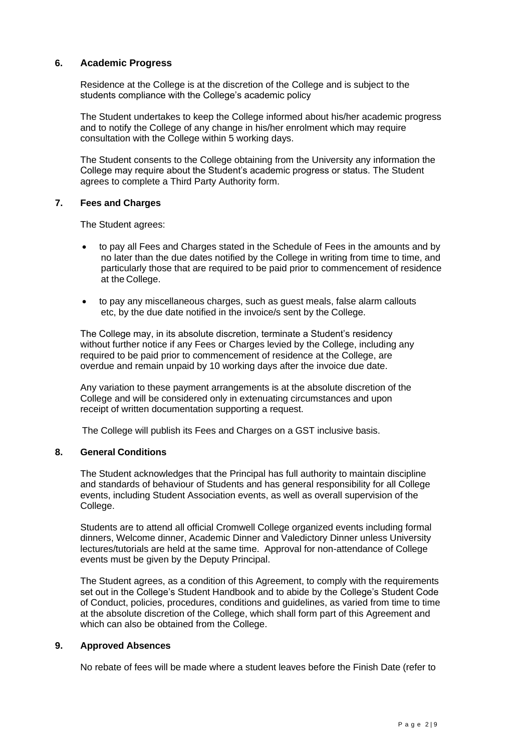# **6. Academic Progress**

Residence at the College is at the discretion of the College and is subject to the students compliance with the College's academic policy

The Student undertakes to keep the College informed about his/her academic progress and to notify the College of any change in his/her enrolment which may require consultation with the College within 5 working days.

The Student consents to the College obtaining from the University any information the College may require about the Student's academic progress or status. The Student agrees to complete a Third Party Authority form.

#### **7. Fees and Charges**

The Student agrees:

- to pay all Fees and Charges stated in the Schedule of Fees in the amounts and by no later than the due dates notified by the College in writing from time to time, and particularly those that are required to be paid prior to commencement of residence at the College.
- to pay any miscellaneous charges, such as guest meals, false alarm callouts etc, by the due date notified in the invoice/s sent by the College.

The College may, in its absolute discretion, terminate a Student's residency without further notice if any Fees or Charges levied by the College, including any required to be paid prior to commencement of residence at the College, are overdue and remain unpaid by 10 working days after the invoice due date.

Any variation to these payment arrangements is at the absolute discretion of the College and will be considered only in extenuating circumstances and upon receipt of written documentation supporting a request.

The College will publish its Fees and Charges on a GST inclusive basis.

# **8. General Conditions**

The Student acknowledges that the Principal has full authority to maintain discipline and standards of behaviour of Students and has general responsibility for all College events, including Student Association events, as well as overall supervision of the College.

Students are to attend all official Cromwell College organized events including formal dinners, Welcome dinner, Academic Dinner and Valedictory Dinner unless University lectures/tutorials are held at the same time. Approval for non-attendance of College events must be given by the Deputy Principal.

The Student agrees, as a condition of this Agreement, to comply with the requirements set out in the College's Student Handbook and to abide by the College's Student Code of Conduct, policies, procedures, conditions and guidelines, as varied from time to time at the absolute discretion of the College, which shall form part of this Agreement and which can also be obtained from the College.

#### **9. Approved Absences**

No rebate of fees will be made where a student leaves before the Finish Date (refer to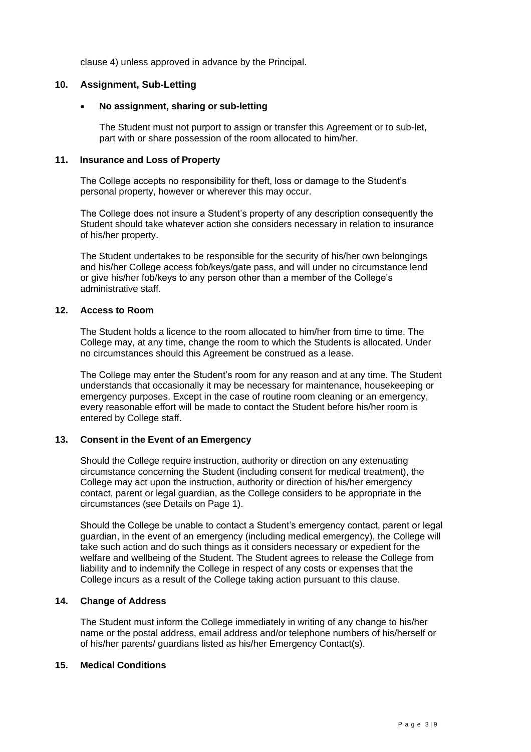clause 4) unless approved in advance by the Principal.

# **10. Assignment, Sub-Letting**

# • **No assignment, sharing or sub-letting**

The Student must not purport to assign or transfer this Agreement or to sub-let, part with or share possession of the room allocated to him/her.

# **11. Insurance and Loss of Property**

The College accepts no responsibility for theft, loss or damage to the Student's personal property, however or wherever this may occur.

The College does not insure a Student's property of any description consequently the Student should take whatever action she considers necessary in relation to insurance of his/her property.

The Student undertakes to be responsible for the security of his/her own belongings and his/her College access fob/keys/gate pass, and will under no circumstance lend or give his/her fob/keys to any person other than a member of the College's administrative staff.

#### **12. Access to Room**

The Student holds a licence to the room allocated to him/her from time to time. The College may, at any time, change the room to which the Students is allocated. Under no circumstances should this Agreement be construed as a lease.

The College may enter the Student's room for any reason and at any time. The Student understands that occasionally it may be necessary for maintenance, housekeeping or emergency purposes. Except in the case of routine room cleaning or an emergency, every reasonable effort will be made to contact the Student before his/her room is entered by College staff.

# **13. Consent in the Event of an Emergency**

Should the College require instruction, authority or direction on any extenuating circumstance concerning the Student (including consent for medical treatment), the College may act upon the instruction, authority or direction of his/her emergency contact, parent or legal guardian, as the College considers to be appropriate in the circumstances (see Details on Page 1).

Should the College be unable to contact a Student's emergency contact, parent or legal guardian, in the event of an emergency (including medical emergency), the College will take such action and do such things as it considers necessary or expedient for the welfare and wellbeing of the Student. The Student agrees to release the College from liability and to indemnify the College in respect of any costs or expenses that the College incurs as a result of the College taking action pursuant to this clause.

# **14. Change of Address**

The Student must inform the College immediately in writing of any change to his/her name or the postal address, email address and/or telephone numbers of his/herself or of his/her parents/ guardians listed as his/her Emergency Contact(s).

# **15. Medical Conditions**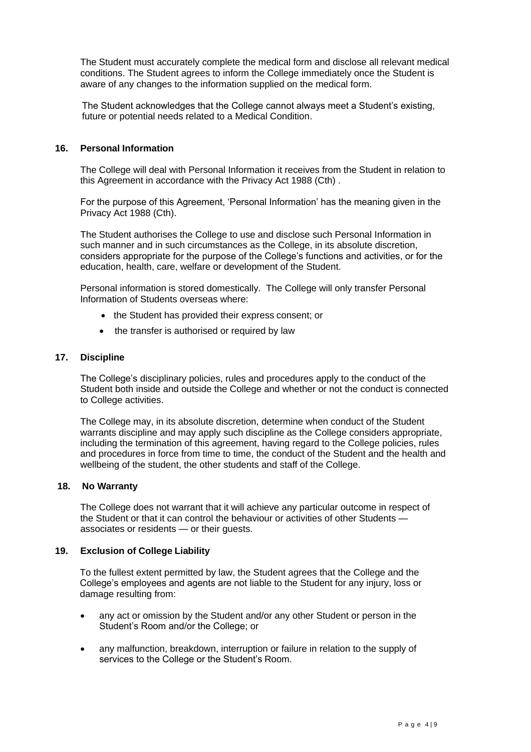The Student must accurately complete the medical form and disclose all relevant medical conditions. The Student agrees to inform the College immediately once the Student is aware of any changes to the information supplied on the medical form.

The Student acknowledges that the College cannot always meet a Student's existing, future or potential needs related to a Medical Condition.

# **16. Personal Information**

The College will deal with Personal Information it receives from the Student in relation to this Agreement in accordance with the Privacy Act 1988 (Cth) .

For the purpose of this Agreement, 'Personal Information' has the meaning given in the Privacy Act 1988 (Cth).

The Student authorises the College to use and disclose such Personal Information in such manner and in such circumstances as the College, in its absolute discretion, considers appropriate for the purpose of the College's functions and activities, or for the education, health, care, welfare or development of the Student.

Personal information is stored domestically. The College will only transfer Personal Information of Students overseas where:

- the Student has provided their express consent; or
- the transfer is authorised or required by law

#### **17. Discipline**

The College's disciplinary policies, rules and procedures apply to the conduct of the Student both inside and outside the College and whether or not the conduct is connected to College activities.

The College may, in its absolute discretion, determine when conduct of the Student warrants discipline and may apply such discipline as the College considers appropriate, including the termination of this agreement, having regard to the College policies, rules and procedures in force from time to time, the conduct of the Student and the health and wellbeing of the student, the other students and staff of the College.

#### **18. No Warranty**

The College does not warrant that it will achieve any particular outcome in respect of the Student or that it can control the behaviour or activities of other Students associates or residents — or their guests.

#### **19. Exclusion of College Liability**

To the fullest extent permitted by law, the Student agrees that the College and the College's employees and agents are not liable to the Student for any injury, loss or damage resulting from:

- any act or omission by the Student and/or any other Student or person in the Student's Room and/or the College; or
- any malfunction, breakdown, interruption or failure in relation to the supply of services to the College or the Student's Room.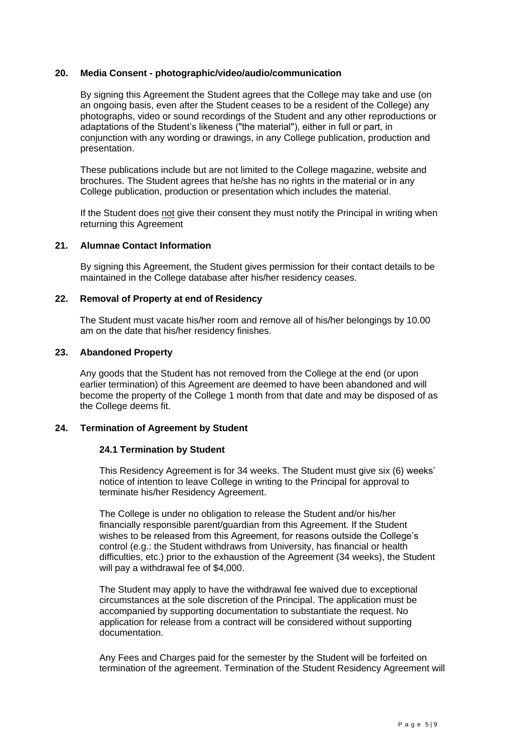# **20. Media Consent - photographic/video/audio/communication**

By signing this Agreement the Student agrees that the College may take and use (on an ongoing basis, even after the Student ceases to be a resident of the College) any photographs, video or sound recordings of the Student and any other reproductions or adaptations of the Student's likeness ("the material"), either in full or part, in conjunction with any wording or drawings, in any College publication, production and presentation.

These publications include but are not limited to the College magazine, website and brochures. The Student agrees that he/she has no rights in the material or in any College publication, production or presentation which includes the material.

If the Student does not give their consent they must notify the Principal in writing when returning this Agreement

#### **21. Alumnae Contact Information**

By signing this Agreement, the Student gives permission for their contact details to be maintained in the College database after his/her residency ceases.

#### **22. Removal of Property at end of Residency**

The Student must vacate his/her room and remove all of his/her belongings by 10.00 am on the date that his/her residency finishes.

#### **23. Abandoned Property**

Any goods that the Student has not removed from the College at the end (or upon earlier termination) of this Agreement are deemed to have been abandoned and will become the property of the College 1 month from that date and may be disposed of as the College deems fit.

# **24. Termination of Agreement by Student**

#### **24.1 Termination by Student**

This Residency Agreement is for 34 weeks. The Student must give six (6) weeks' notice of intention to leave College in writing to the Principal for approval to terminate his/her Residency Agreement.

The College is under no obligation to release the Student and/or his/her financially responsible parent/guardian from this Agreement. If the Student wishes to be released from this Agreement, for reasons outside the College's control (e.g.: the Student withdraws from University, has financial or health difficulties, etc.) prior to the exhaustion of the Agreement (34 weeks), the Student will pay a withdrawal fee of \$4,000.

The Student may apply to have the withdrawal fee waived due to exceptional circumstances at the sole discretion of the Principal. The application must be accompanied by supporting documentation to substantiate the request. No application for release from a contract will be considered without supporting documentation.

Any Fees and Charges paid for the semester by the Student will be forfeited on termination of the agreement. Termination of the Student Residency Agreement will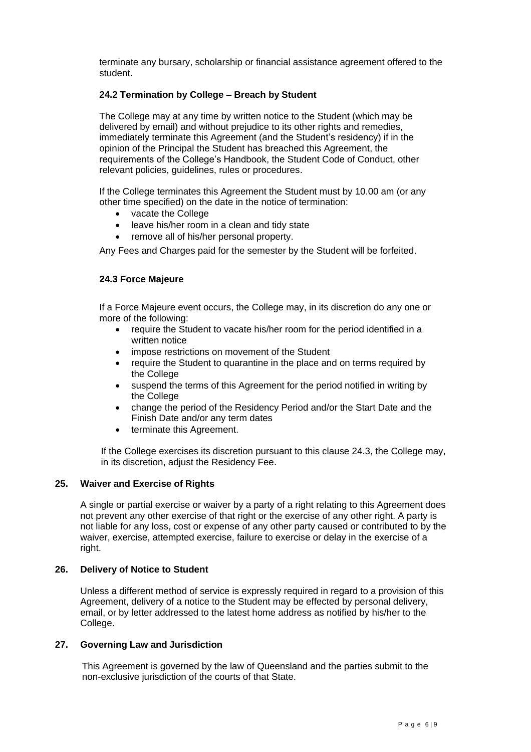terminate any bursary, scholarship or financial assistance agreement offered to the student.

# **24.2 Termination by College – Breach by Student**

The College may at any time by written notice to the Student (which may be delivered by email) and without prejudice to its other rights and remedies, immediately terminate this Agreement (and the Student's residency) if in the opinion of the Principal the Student has breached this Agreement, the requirements of the College's Handbook, the Student Code of Conduct, other relevant policies, guidelines, rules or procedures.

If the College terminates this Agreement the Student must by 10.00 am (or any other time specified) on the date in the notice of termination:

- vacate the College
- leave his/her room in a clean and tidy state
- remove all of his/her personal property.

Any Fees and Charges paid for the semester by the Student will be forfeited.

# **24.3 Force Majeure**

If a Force Majeure event occurs, the College may, in its discretion do any one or more of the following:

- require the Student to vacate his/her room for the period identified in a written notice
- impose restrictions on movement of the Student
- require the Student to quarantine in the place and on terms required by the College
- suspend the terms of this Agreement for the period notified in writing by the College
- change the period of the Residency Period and/or the Start Date and the Finish Date and/or any term dates
- terminate this Agreement.

If the College exercises its discretion pursuant to this clause 24.3, the College may, in its discretion, adjust the Residency Fee.

# **25. Waiver and Exercise of Rights**

A single or partial exercise or waiver by a party of a right relating to this Agreement does not prevent any other exercise of that right or the exercise of any other right. A party is not liable for any loss, cost or expense of any other party caused or contributed to by the waiver, exercise, attempted exercise, failure to exercise or delay in the exercise of a right.

# **26. Delivery of Notice to Student**

Unless a different method of service is expressly required in regard to a provision of this Agreement, delivery of a notice to the Student may be effected by personal delivery, email, or by letter addressed to the latest home address as notified by his/her to the College.

# **27. Governing Law and Jurisdiction**

This Agreement is governed by the law of Queensland and the parties submit to the non-exclusive jurisdiction of the courts of that State.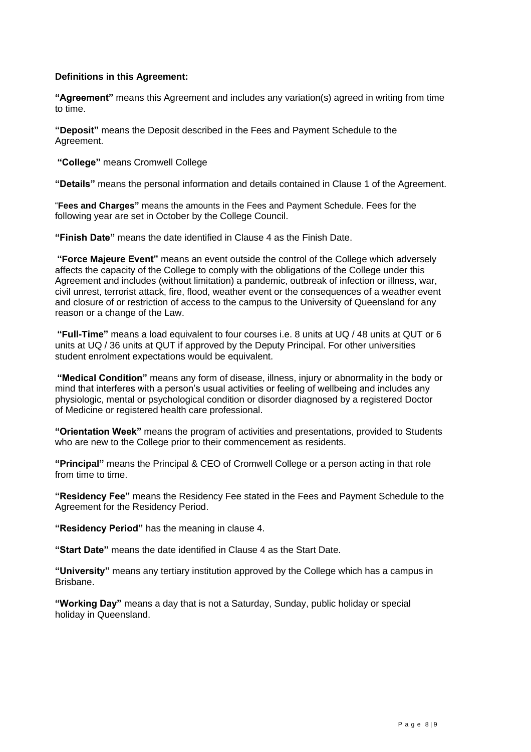# **Definitions in this Agreement:**

**"Agreement"** means this Agreement and includes any variation(s) agreed in writing from time to time.

**"Deposit"** means the Deposit described in the Fees and Payment Schedule to the Agreement.

**"College"** means Cromwell College

**"Details"** means the personal information and details contained in Clause 1 of the Agreement.

"**Fees and Charges"** means the amounts in the Fees and Payment Schedule. Fees for the following year are set in October by the College Council.

**"Finish Date"** means the date identified in Clause 4 as the Finish Date.

**"Force Majeure Event"** means an event outside the control of the College which adversely affects the capacity of the College to comply with the obligations of the College under this Agreement and includes (without limitation) a pandemic, outbreak of infection or illness, war, civil unrest, terrorist attack, fire, flood, weather event or the consequences of a weather event and closure of or restriction of access to the campus to the University of Queensland for any reason or a change of the Law.

**"Full-Time"** means a load equivalent to four courses i.e. 8 units at UQ / 48 units at QUT or 6 units at UQ / 36 units at QUT if approved by the Deputy Principal. For other universities student enrolment expectations would be equivalent.

**"Medical Condition"** means any form of disease, illness, injury or abnormality in the body or mind that interferes with a person's usual activities or feeling of wellbeing and includes any physiologic, mental or psychological condition or disorder diagnosed by a registered Doctor of Medicine or registered health care professional.

**"Orientation Week"** means the program of activities and presentations, provided to Students who are new to the College prior to their commencement as residents.

**"Principal"** means the Principal & CEO of Cromwell College or a person acting in that role from time to time.

**"Residency Fee"** means the Residency Fee stated in the Fees and Payment Schedule to the Agreement for the Residency Period.

**"Residency Period"** has the meaning in clause 4.

**"Start Date"** means the date identified in Clause 4 as the Start Date.

**"University"** means any tertiary institution approved by the College which has a campus in Brisbane.

**"Working Day"** means a day that is not a Saturday, Sunday, public holiday or special holiday in Queensland.